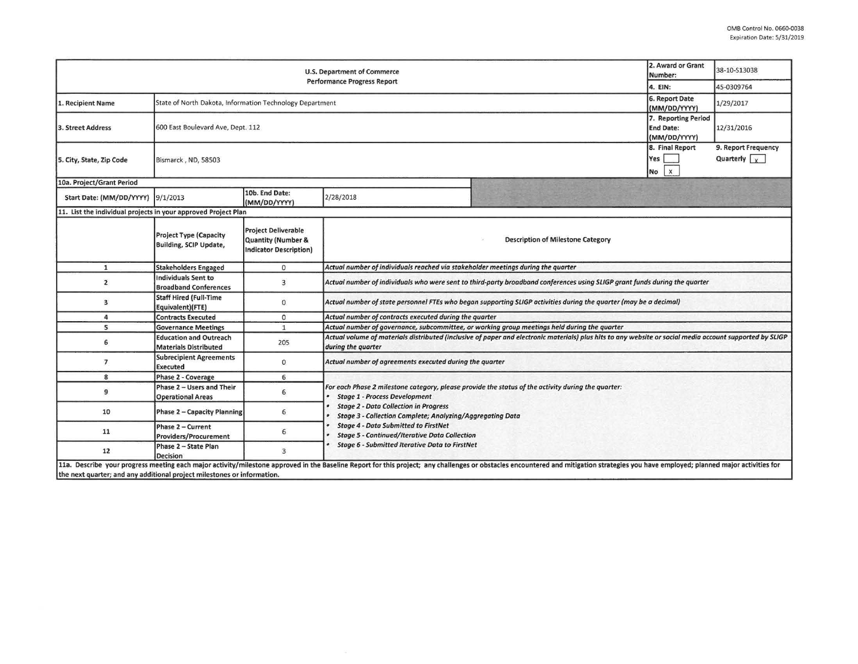| U.S. Department of Commerce<br><b>Performance Progress Report</b>       |                                                                |                                                                            |                                                                                                                                                                                                                                                                                                                                                                |                                                                                                                                                                                                                                | 2. Award or Grant<br>Number:                            | 38-10-S13038                                |  |  |  |
|-------------------------------------------------------------------------|----------------------------------------------------------------|----------------------------------------------------------------------------|----------------------------------------------------------------------------------------------------------------------------------------------------------------------------------------------------------------------------------------------------------------------------------------------------------------------------------------------------------------|--------------------------------------------------------------------------------------------------------------------------------------------------------------------------------------------------------------------------------|---------------------------------------------------------|---------------------------------------------|--|--|--|
|                                                                         |                                                                |                                                                            |                                                                                                                                                                                                                                                                                                                                                                |                                                                                                                                                                                                                                | 4. EIN:                                                 | 45-0309764                                  |  |  |  |
| 1. Recipient Name                                                       | State of North Dakota, Information Technology Department       |                                                                            |                                                                                                                                                                                                                                                                                                                                                                |                                                                                                                                                                                                                                | 6. Report Date<br>(MM/DD/YYYY)                          | 1/29/2017                                   |  |  |  |
| 3. Street Address                                                       | 600 East Boulevard Ave, Dept. 112                              |                                                                            |                                                                                                                                                                                                                                                                                                                                                                |                                                                                                                                                                                                                                | 7. Reporting Period<br><b>End Date:</b><br>(MM/DD/YYYY) | 12/31/2016                                  |  |  |  |
| 5. City, State, Zip Code                                                | Bismarck, ND, 58503                                            |                                                                            |                                                                                                                                                                                                                                                                                                                                                                |                                                                                                                                                                                                                                | 8. Final Report<br>Yes<br>$No$ $x$                      | 9. Report Frequency<br>Quarterly $\sqrt{y}$ |  |  |  |
| 10a. Project/Grant Period                                               |                                                                |                                                                            |                                                                                                                                                                                                                                                                                                                                                                |                                                                                                                                                                                                                                |                                                         |                                             |  |  |  |
| Start Date: (MM/DD/YYYY) 9/1/2013                                       |                                                                | 10b. End Date:<br>(MM/DD/YYYY)                                             | 2/28/2018                                                                                                                                                                                                                                                                                                                                                      |                                                                                                                                                                                                                                |                                                         |                                             |  |  |  |
| 11. List the individual projects in your approved Project Plan          |                                                                |                                                                            |                                                                                                                                                                                                                                                                                                                                                                |                                                                                                                                                                                                                                |                                                         |                                             |  |  |  |
|                                                                         | <b>Project Type (Capacity</b><br><b>Building, SCIP Update,</b> | <b>Project Deliverable</b><br>Quantity (Number &<br>Indicator Description) | <b>Description of Milestone Category</b>                                                                                                                                                                                                                                                                                                                       |                                                                                                                                                                                                                                |                                                         |                                             |  |  |  |
| $\mathbf{1}$                                                            | <b>Stakeholders Engaged</b>                                    | $\mathbf{O}$                                                               | Actual number of individuals reached via stakeholder meetings during the quarter                                                                                                                                                                                                                                                                               |                                                                                                                                                                                                                                |                                                         |                                             |  |  |  |
| $\overline{2}$                                                          | <b>Individuals Sent to</b><br><b>Broadband Conferences</b>     | 3                                                                          | Actual number of individuals who were sent to third-party broadband conferences using SLIGP grant funds during the quarter                                                                                                                                                                                                                                     |                                                                                                                                                                                                                                |                                                         |                                             |  |  |  |
| 3                                                                       | <b>Staff Hired (Full-Time</b><br>Equivalent)(FTE)              | $\mathbf{0}$                                                               | Actual number of state personnel FTEs who began supporting SLIGP activities during the quarter (may be a decimal)                                                                                                                                                                                                                                              |                                                                                                                                                                                                                                |                                                         |                                             |  |  |  |
| $\overline{a}$                                                          | <b>Contracts Executed</b>                                      | $\mathbf{0}$                                                               | Actual number of contracts executed during the quarter                                                                                                                                                                                                                                                                                                         |                                                                                                                                                                                                                                |                                                         |                                             |  |  |  |
| 5                                                                       | <b>Governance Meetings</b>                                     | $\mathbf{1}$                                                               | Actual number of governance, subcommittee, or working group meetings held during the quarter                                                                                                                                                                                                                                                                   |                                                                                                                                                                                                                                |                                                         |                                             |  |  |  |
| 6                                                                       | <b>Education and Outreach</b><br><b>Materials Distributed</b>  | 205                                                                        | Actual volume of materials distributed (inclusive of paper and electronic materials) plus hits to any website or social media account supported by SLIGP<br>during the quarter                                                                                                                                                                                 |                                                                                                                                                                                                                                |                                                         |                                             |  |  |  |
| $\overline{7}$                                                          | <b>Subrecipient Agreements</b><br><b>Executed</b>              | $\mathbf{0}$                                                               | Actual number of agreements executed during the quarter                                                                                                                                                                                                                                                                                                        |                                                                                                                                                                                                                                |                                                         |                                             |  |  |  |
| 8                                                                       | Phase 2 - Coverage                                             | 6                                                                          |                                                                                                                                                                                                                                                                                                                                                                |                                                                                                                                                                                                                                |                                                         |                                             |  |  |  |
| $\overline{9}$                                                          | Phase 2 - Users and Their<br><b>Operational Areas</b>          | 6                                                                          | For each Phase 2 milestone category, please provide the status of the activity during the quarter:<br><b>Stage 1 - Process Development</b><br><b>Stage 2 - Data Collection in Progress</b><br>Stage 3 - Collection Complete; Analyzing/Aggregating Data<br><b>Stage 4 - Data Submitted to FirstNet</b><br><b>Stage 5 - Continued/Iterative Data Collection</b> |                                                                                                                                                                                                                                |                                                         |                                             |  |  |  |
| 10                                                                      | <b>Phase 2 - Capacity Planning</b>                             | 6                                                                          |                                                                                                                                                                                                                                                                                                                                                                |                                                                                                                                                                                                                                |                                                         |                                             |  |  |  |
| 11                                                                      | Phase 2 - Current<br><b>Providers/Procurement</b>              | 6                                                                          |                                                                                                                                                                                                                                                                                                                                                                |                                                                                                                                                                                                                                |                                                         |                                             |  |  |  |
| 12                                                                      | Phase 2 - State Plan<br><b>Decision</b>                        | $\overline{3}$                                                             | <b>Stage 6 - Submitted Iterative Data to FirstNet</b>                                                                                                                                                                                                                                                                                                          |                                                                                                                                                                                                                                |                                                         |                                             |  |  |  |
| the next quarter; and any additional project milestones or information. |                                                                |                                                                            |                                                                                                                                                                                                                                                                                                                                                                | 11a. Describe your progress meeting each major activity/milestone approved in the Baseline Report for this project; any challenges or obstacles encountered and mitigation strategies you have employed; planned major activit |                                                         |                                             |  |  |  |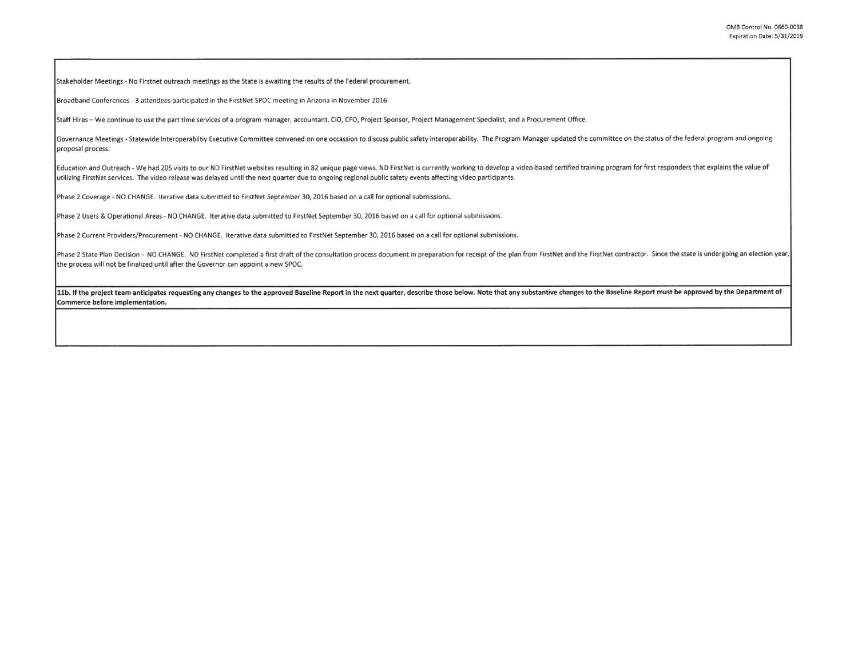Stakeholder Meetings · No Firstnet outreach meetings as the State is awaiting the results of the Federal procurement.

Broadband Conferences - 3 attendees participated in the FirstNet SPOC meeting in Arizona in November 2016

Staff Hires - We continue to use the part time services of a program manager, accountant, CIO, CFO, Project Sponsor, Project Management Specialist, and a Procurement Office.

Governance Meetings - Statewide Interoperabiltiy Executive Committee convened on one occassion to discuss public safety interoperability. The Program Manager updated the committee on the status of the federal program and o proposal process.

Education and Outreach - We had 205 visits to our ND FirstNet websites resulting in 82 unique page views. ND FirstNet is currently working to develop a video-based certified training program for first responders that expla utilizing FirstNet services. The video release was delayed until the next quarter due to ongoing regional public safety events affecting video participants.

Phase 2 Coverage - NO CHANGE. Iterative data submitted to FirstNet September 30, 2016 based on a call for optional submissions.

Phase 2 Users & Operational Areas - NO CHANGE. Iterative data submitted to FirstNet September 30, 2016 based on a call for optional submissions.

Phase 2 Current Providers/Procurement - NO CHANGE. Iterative data submitted to FirstNet September 30, 2016 based on a call for optional submissions.

Phase 2 State Plan Decision - NO CHANGE. ND FirstNet completed a first draft of the consultation process document in preparation for receipt of the plan from FirstNet and the FirstNet contractor. Since the state is undergo the process will not be finalized until after the Governor can appoint a new SPOC.

11b. If the project team anticipates requesting any changes to the approved Baseline Report in the next quarter, describe those below. Note that any substantive changes to the Baseline Report must be approved by the Depart Commerce before implementation.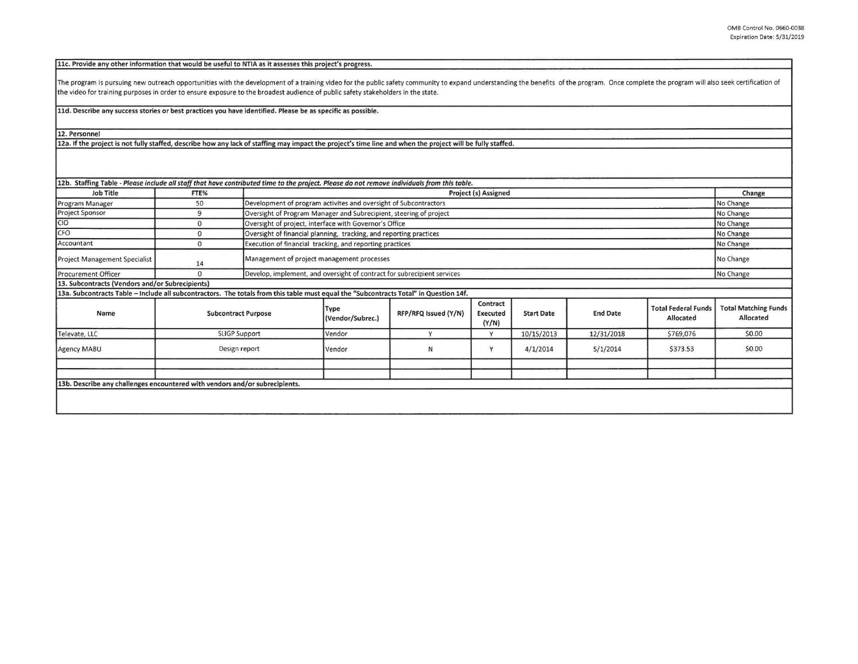**11c. Provide any other information that would be useful to NTIA as it assesses this project's progress.** 

The program is pursuing new outreach opportunities with the development of a training video for the public safety community to expand understanding the benefits of the program. Once complete the program will also seek cert the video for training purposes in order to ensure exposure to the broadest audience of public safety stakeholders in the state.

**11d. Describe any success stories or best practices you have identified. Please be as specific as possible.** 

**12. Personnel** 

**12a. If the project is not fully staffed, describe how any lack of staffing may impact the project's time** line **and when the project will be** fully **staffed.** 

| 12b. Staffing Table - Please include all staff that have contributed time to the project. Please do not remove individuals from this table. |                            |                                                                    |                                                                         |                      |                                      |                   |                 |                                         |                                          |
|---------------------------------------------------------------------------------------------------------------------------------------------|----------------------------|--------------------------------------------------------------------|-------------------------------------------------------------------------|----------------------|--------------------------------------|-------------------|-----------------|-----------------------------------------|------------------------------------------|
| <b>Job Title</b>                                                                                                                            | FTE%                       |                                                                    | Project (s) Assigned                                                    |                      |                                      |                   |                 |                                         | Change                                   |
| Program Manager                                                                                                                             | 50                         |                                                                    | Development of program activites and oversight of Subcontractors        |                      |                                      |                   |                 |                                         | No Change                                |
| <b>Project Sponsor</b>                                                                                                                      | 9                          |                                                                    | Oversight of Program Manager and Subrecipient, steering of project      |                      |                                      |                   |                 |                                         | No Change                                |
| CIO                                                                                                                                         | $\mathbf{0}$               | Oversight of project, interface with Governor's Office             |                                                                         |                      |                                      |                   |                 | No Change                               |                                          |
| CFO                                                                                                                                         | $\mathbf{0}$               | Oversight of financial planning, tracking, and reporting practices |                                                                         |                      |                                      |                   |                 | No Change                               |                                          |
| Accountant                                                                                                                                  | $\mathbf{0}$               |                                                                    | Execution of financial tracking, and reporting practices                |                      |                                      |                   |                 | No Change                               |                                          |
| <b>Project Management Specialist</b>                                                                                                        | 14                         |                                                                    | Management of project management processes                              |                      |                                      |                   |                 |                                         | No Change                                |
| Procurement Officer                                                                                                                         | $\Omega$                   |                                                                    | Develop, implement, and oversight of contract for subrecipient services |                      |                                      |                   |                 |                                         | No Change                                |
| 13. Subcontracts (Vendors and/or Subrecipients)                                                                                             |                            |                                                                    |                                                                         |                      |                                      |                   |                 |                                         |                                          |
| 13a. Subcontracts Table - Include all subcontractors. The totals from this table must equal the "Subcontracts Total" in Question 14f.       |                            |                                                                    |                                                                         |                      |                                      |                   |                 |                                         |                                          |
| Name                                                                                                                                        | <b>Subcontract Purpose</b> |                                                                    | Type<br>(Vendor/Subrec.)                                                | RFP/RFQ Issued (Y/N) | Contract<br><b>Executed</b><br>(Y/N) | <b>Start Date</b> | <b>End Date</b> | <b>Total Federal Funds</b><br>Allocated | <b>Total Matching Funds</b><br>Allocated |
| Televate, LLC                                                                                                                               | <b>SLIGP Support</b>       |                                                                    | Vendor                                                                  | $\checkmark$         | Y                                    | 10/15/2013        | 12/31/2018      | \$769,076                               | \$0.00                                   |
| Agency MABU                                                                                                                                 | Design report              |                                                                    | Vendor                                                                  | N                    | Y                                    | 4/1/2014          | 5/1/2014        | \$373.53                                | \$0.00                                   |
|                                                                                                                                             |                            |                                                                    |                                                                         |                      |                                      |                   |                 |                                         |                                          |
|                                                                                                                                             |                            |                                                                    |                                                                         |                      |                                      |                   |                 |                                         |                                          |
| 13b. Describe any challenges encountered with vendors and/or subrecipients.                                                                 |                            |                                                                    |                                                                         |                      |                                      |                   |                 |                                         |                                          |
|                                                                                                                                             |                            |                                                                    |                                                                         |                      |                                      |                   |                 |                                         |                                          |